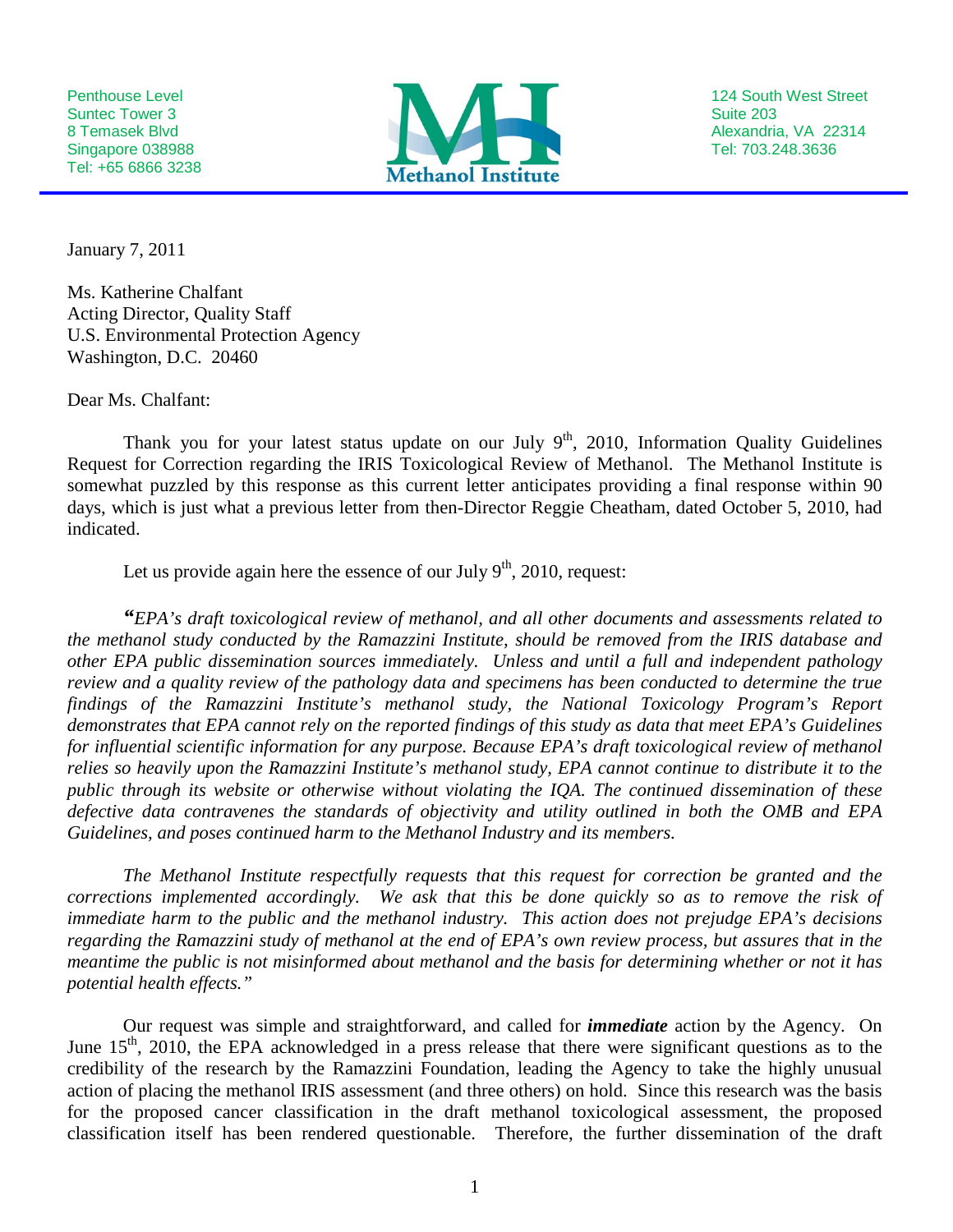Tel: +65 6866 3238



January 7, 2011

Ms. Katherine Chalfant Acting Director, Quality Staff U.S. Environmental Protection Agency Washington, D.C. 20460

Dear Ms. Chalfant:

Thank you for your latest status update on our July  $9<sup>th</sup>$ , 2010, Information Quality Guidelines Request for Correction regarding the IRIS Toxicological Review of Methanol. The Methanol Institute is somewhat puzzled by this response as this current letter anticipates providing a final response within 90 days, which is just what a previous letter from then-Director Reggie Cheatham, dated October 5, 2010, had indicated.

Let us provide again here the essence of our July  $9<sup>th</sup>$ , 2010, request:

*"EPA's draft toxicological review of methanol, and all other documents and assessments related to the methanol study conducted by the Ramazzini Institute, should be removed from the IRIS database and other EPA public dissemination sources immediately. Unless and until a full and independent pathology review and a quality review of the pathology data and specimens has been conducted to determine the true findings of the Ramazzini Institute's methanol study, the National Toxicology Program's Report demonstrates that EPA cannot rely on the reported findings of this study as data that meet EPA's Guidelines for influential scientific information for any purpose. Because EPA's draft toxicological review of methanol relies so heavily upon the Ramazzini Institute's methanol study, EPA cannot continue to distribute it to the public through its website or otherwise without violating the IQA. The continued dissemination of these defective data contravenes the standards of objectivity and utility outlined in both the OMB and EPA Guidelines, and poses continued harm to the Methanol Industry and its members.* 

*The Methanol Institute respectfully requests that this request for correction be granted and the corrections implemented accordingly. We ask that this be done quickly so as to remove the risk of immediate harm to the public and the methanol industry. This action does not prejudge EPA's decisions regarding the Ramazzini study of methanol at the end of EPA's own review process, but assures that in the meantime the public is not misinformed about methanol and the basis for determining whether or not it has potential health effects."*

Our request was simple and straightforward, and called for *immediate* action by the Agency. On June  $15<sup>th</sup>$ , 2010, the EPA acknowledged in a press release that there were significant questions as to the credibility of the research by the Ramazzini Foundation, leading the Agency to take the highly unusual action of placing the methanol IRIS assessment (and three others) on hold. Since this research was the basis for the proposed cancer classification in the draft methanol toxicological assessment, the proposed classification itself has been rendered questionable. Therefore, the further dissemination of the draft